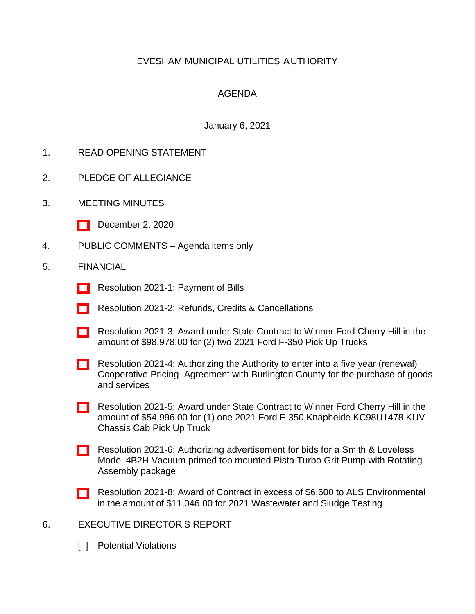# EVESHAM MUNICIPAL UTILITIES AUTHORITY

# AGENDA

January 6, 2021

- 1. READ OPENING STATEMENT
- 2. PLEDGE OF ALLEGIANCE
- 3. MEETING MINUTES
	- [\[ \]](http://www.eveshammua.com/wp-content/uploads/2020/12/minutes-12-2-2020.pdf) December 2, 2020
- 4. PUBLIC COMMENTS Agenda items only
- 5. FINANCIAL
	- [\[ \]](http://www.eveshammua.com/wp-content/uploads/2021/01/Resolution-2021-1-Bill-List...pdf) Resolution 2021-1: Payment of Bills
	- [\[ \]](http://www.eveshammua.com/wp-content/uploads/2020/12/Resolution-2021-2-Refunds.pdf) Resolution 2021-2: Refunds, Credits & Cancellations
	- [\[ \]](http://www.eveshammua.com/wp-content/uploads/2020/12/Resolution-2021-3-Winner-Ford-State-Contract.pdf) Resolution 2021-3: Award under State Contract to Winner Ford Cherry Hill in the amount of \$98,978.00 for (2) two 2021 Ford F-350 Pick Up Trucks
	- [\[ \]](http://www.eveshammua.com/wp-content/uploads/2020/12/Resolution-2021-4-Burlington-County-Coop-Program-Resolution.pdf) Resolution 2021-4: Authorizing the Authority to enter into a five year (renewal) Cooperative Pricing Agreement with Burlington County for the purchase of goods and services
	- [\[ \]](http://www.eveshammua.com/wp-content/uploads/2021/01/Resolution-2021-5-Winner-Ford-State-Contract.pdf) Resolution 2021-5: Award under State Contract to Winner Ford Cherry Hill in the amount of \$54,996.00 for (1) one 2021 Ford F-350 Knapheide KC98U1478 KUV-Chassis Cab Pick Up Truck
	- [\[ \]](http://www.eveshammua.com/wp-content/uploads/2020/12/Resolution-2021-6-Authorize-advertisement-for-Bids-Smith-Loveless.pdf) Resolution 2021-6: Authorizing advertisement for bids for a Smith & Loveless Model 4B2H Vacuum primed top mounted Pista Turbo Grit Pump with Rotating Assembly package
	- [\[ \]](http://www.eveshammua.com/wp-content/uploads/2020/12/Resolution-2021-8-ALS-Environmental.pdf) Resolution 2021-8: Award of Contract in excess of \$6,600 to ALS Environmental in the amount of \$11,046.00 for 2021 Wastewater and Sludge Testing
- 6. EXECUTIVE DIRECTOR'S REPORT
	- [ ] Potential Violations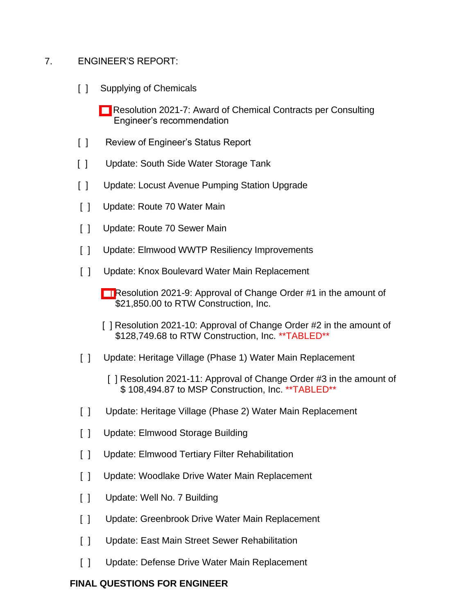### 7. ENGINEER'S REPORT:

- [ ] Supplying of Chemicals
	- [\[ \]](http://www.eveshammua.com/wp-content/uploads/2021/01/Resolution-2021-7-Chemical-Contract.pdf) Resolution 2021-7: Award of Chemical Contracts per Consulting Engineer's recommendation
- [ ] Review of Engineer's Status Report
- [ ] Update: South Side Water Storage Tank
- [ ] Update: Locust Avenue Pumping Station Upgrade
- [ ] Update: Route 70 Water Main
- [ ] Update: Route 70 Sewer Main
- [ ] Update: Elmwood WWTP Resiliency Improvements
- [ ] Update: Knox Boulevard Water Main Replacement
	- [\[ \]](http://www.eveshammua.com/wp-content/uploads/2020/12/Resolution-2021-9-RTW-Change-Order-No.-1-Board.pdf) Resolution 2021-9: Approval of Change Order #1 in the amount of \$21,850.00 to RTW Construction, Inc.
	- [] Resolution 2021-10: Approval of Change Order #2 in the amount of \$128,749.68 to RTW Construction, Inc. \*\*TABLED\*\*
- [ ] Update: Heritage Village (Phase 1) Water Main Replacement
	- [] Resolution 2021-11: Approval of Change Order #3 in the amount of \$ 108,494.87 to MSP Construction, Inc. \*\*TABLED\*\*
- [ ] Update: Heritage Village (Phase 2) Water Main Replacement
- [ ] Update: Elmwood Storage Building
- [ ] Update: Elmwood Tertiary Filter Rehabilitation
- [ ] Update: Woodlake Drive Water Main Replacement
- [ ] Update: Well No. 7 Building
- [ ] Update: Greenbrook Drive Water Main Replacement
- [ ] Update: East Main Street Sewer Rehabilitation
- [ ] Update: Defense Drive Water Main Replacement

#### **FINAL QUESTIONS FOR ENGINEER**